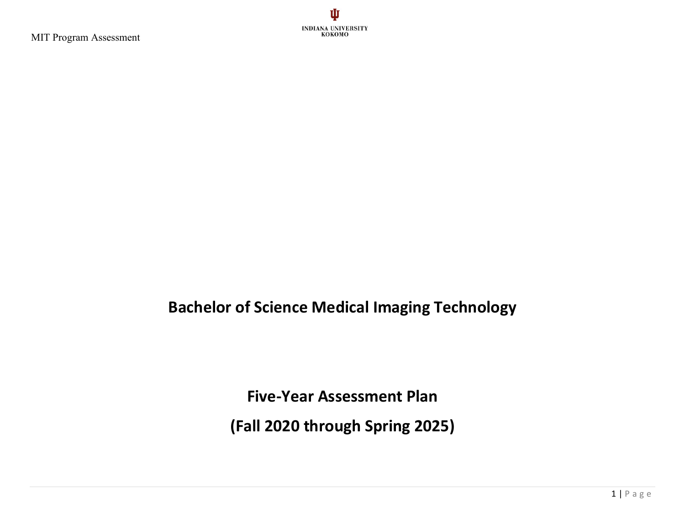

## **Bachelor of Science Medical Imaging Technology**

**Five-Year Assessment Plan**

**(Fall 2020 through Spring 2025)**